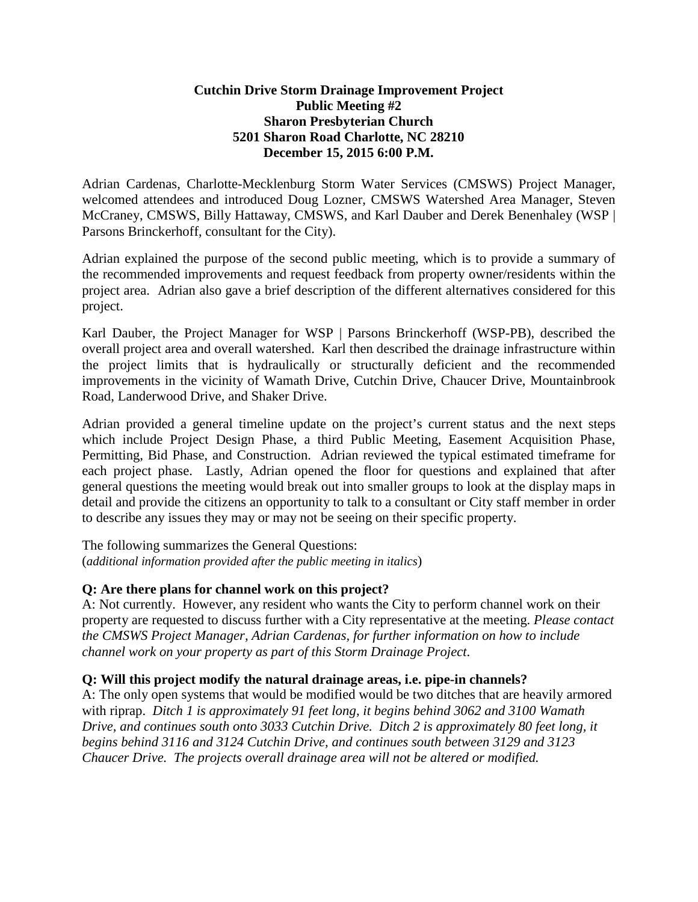#### **Cutchin Drive Storm Drainage Improvement Project Public Meeting #2 Sharon Presbyterian Church 5201 Sharon Road Charlotte, NC 28210 December 15, 2015 6:00 P.M.**

Adrian Cardenas, Charlotte-Mecklenburg Storm Water Services (CMSWS) Project Manager, welcomed attendees and introduced Doug Lozner, CMSWS Watershed Area Manager, Steven McCraney, CMSWS, Billy Hattaway, CMSWS, and Karl Dauber and Derek Benenhaley (WSP | Parsons Brinckerhoff, consultant for the City).

Adrian explained the purpose of the second public meeting, which is to provide a summary of the recommended improvements and request feedback from property owner/residents within the project area. Adrian also gave a brief description of the different alternatives considered for this project.

Karl Dauber, the Project Manager for WSP | Parsons Brinckerhoff (WSP-PB), described the overall project area and overall watershed. Karl then described the drainage infrastructure within the project limits that is hydraulically or structurally deficient and the recommended improvements in the vicinity of Wamath Drive, Cutchin Drive, Chaucer Drive, Mountainbrook Road, Landerwood Drive, and Shaker Drive.

Adrian provided a general timeline update on the project's current status and the next steps which include Project Design Phase, a third Public Meeting, Easement Acquisition Phase, Permitting, Bid Phase, and Construction. Adrian reviewed the typical estimated timeframe for each project phase. Lastly, Adrian opened the floor for questions and explained that after general questions the meeting would break out into smaller groups to look at the display maps in detail and provide the citizens an opportunity to talk to a consultant or City staff member in order to describe any issues they may or may not be seeing on their specific property.

The following summarizes the General Questions: (*additional information provided after the public meeting in italics*)

# **Q: Are there plans for channel work on this project?**

A: Not currently. However, any resident who wants the City to perform channel work on their property are requested to discuss further with a City representative at the meeting. *Please contact the CMSWS Project Manager, Adrian Cardenas, for further information on how to include channel work on your property as part of this Storm Drainage Project*.

### **Q: Will this project modify the natural drainage areas, i.e. pipe-in channels?**

A: The only open systems that would be modified would be two ditches that are heavily armored with riprap. *Ditch 1 is approximately 91 feet long, it begins behind 3062 and 3100 Wamath Drive, and continues south onto 3033 Cutchin Drive. Ditch 2 is approximately 80 feet long, it begins behind 3116 and 3124 Cutchin Drive, and continues south between 3129 and 3123 Chaucer Drive. The projects overall drainage area will not be altered or modified.*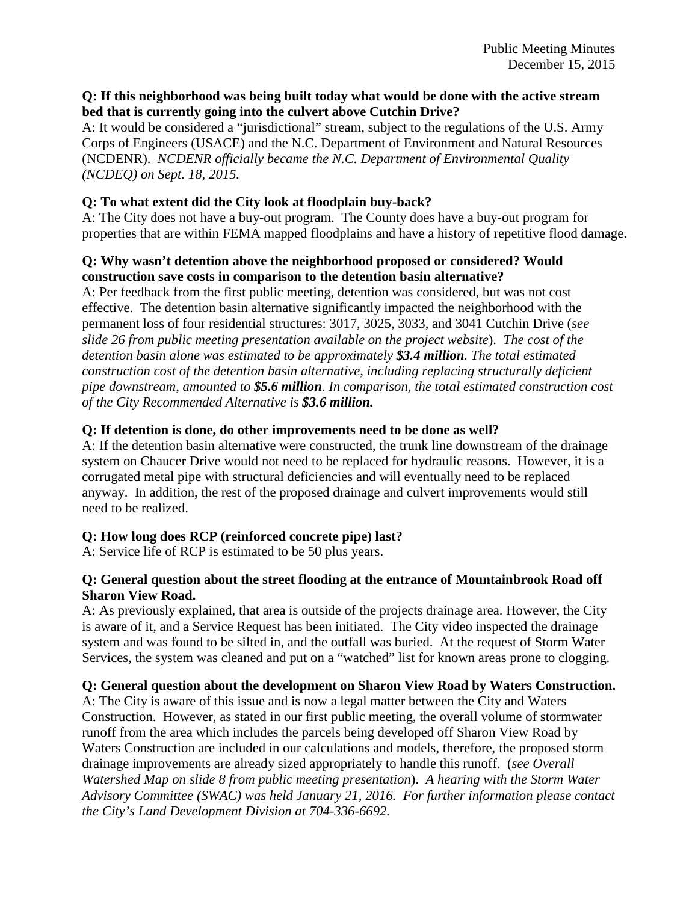#### **Q: If this neighborhood was being built today what would be done with the active stream bed that is currently going into the culvert above Cutchin Drive?**

A: It would be considered a "jurisdictional" stream, subject to the regulations of the U.S. Army Corps of Engineers (USACE) and the N.C. Department of Environment and Natural Resources (NCDENR). *NCDENR officially became the N.C. Department of Environmental Quality (NCDEQ) on Sept. 18, 2015.*

### **Q: To what extent did the City look at floodplain buy-back?**

A: The City does not have a buy-out program. The County does have a buy-out program for properties that are within FEMA mapped floodplains and have a history of repetitive flood damage.

### **Q: Why wasn't detention above the neighborhood proposed or considered? Would construction save costs in comparison to the detention basin alternative?**

A: Per feedback from the first public meeting, detention was considered, but was not cost effective. The detention basin alternative significantly impacted the neighborhood with the permanent loss of four residential structures: 3017, 3025, 3033, and 3041 Cutchin Drive (*see slide 26 from public meeting presentation available on the project website*). *The cost of the detention basin alone was estimated to be approximately \$3.4 million. The total estimated construction cost of the detention basin alternative, including replacing structurally deficient pipe downstream, amounted to \$5.6 million. In comparison, the total estimated construction cost of the City Recommended Alternative is \$3.6 million.*

# **Q: If detention is done, do other improvements need to be done as well?**

A: If the detention basin alternative were constructed, the trunk line downstream of the drainage system on Chaucer Drive would not need to be replaced for hydraulic reasons. However, it is a corrugated metal pipe with structural deficiencies and will eventually need to be replaced anyway. In addition, the rest of the proposed drainage and culvert improvements would still need to be realized.

# **Q: How long does RCP (reinforced concrete pipe) last?**

A: Service life of RCP is estimated to be 50 plus years.

### **Q: General question about the street flooding at the entrance of Mountainbrook Road off Sharon View Road.**

A: As previously explained, that area is outside of the projects drainage area. However, the City is aware of it, and a Service Request has been initiated. The City video inspected the drainage system and was found to be silted in, and the outfall was buried. At the request of Storm Water Services, the system was cleaned and put on a "watched" list for known areas prone to clogging.

# **Q: General question about the development on Sharon View Road by Waters Construction.**

A: The City is aware of this issue and is now a legal matter between the City and Waters Construction. However, as stated in our first public meeting, the overall volume of stormwater runoff from the area which includes the parcels being developed off Sharon View Road by Waters Construction are included in our calculations and models, therefore, the proposed storm drainage improvements are already sized appropriately to handle this runoff. (*see Overall Watershed Map on slide 8 from public meeting presentation*). *A hearing with the Storm Water Advisory Committee (SWAC) was held January 21, 2016. For further information please contact the City's Land Development Division at 704-336-6692.*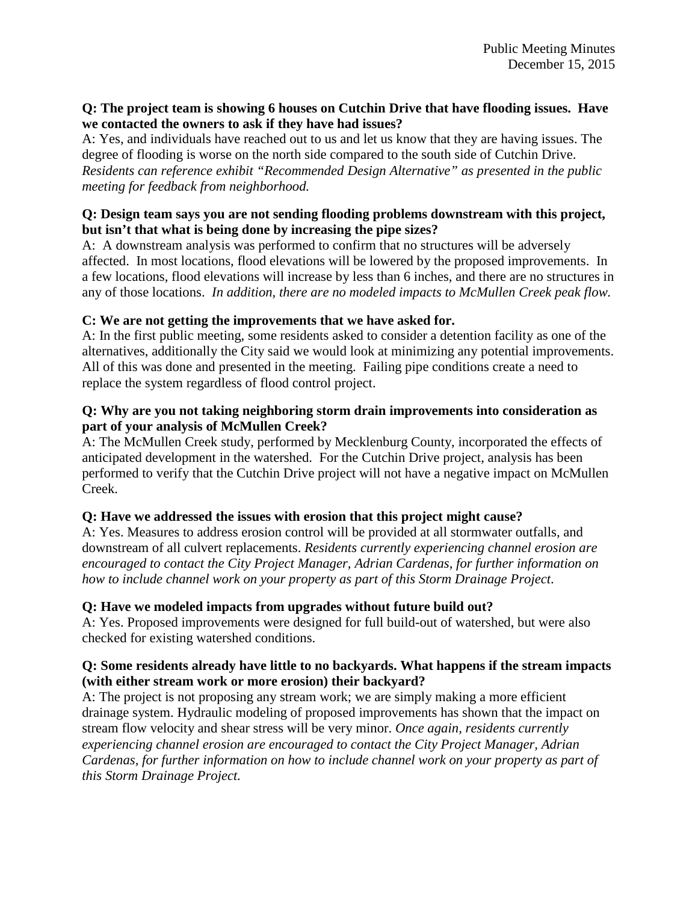### **Q: The project team is showing 6 houses on Cutchin Drive that have flooding issues. Have we contacted the owners to ask if they have had issues?**

A: Yes, and individuals have reached out to us and let us know that they are having issues. The degree of flooding is worse on the north side compared to the south side of Cutchin Drive. *Residents can reference exhibit "Recommended Design Alternative" as presented in the public meeting for feedback from neighborhood.*

### **Q: Design team says you are not sending flooding problems downstream with this project, but isn't that what is being done by increasing the pipe sizes?**

A: A downstream analysis was performed to confirm that no structures will be adversely affected. In most locations, flood elevations will be lowered by the proposed improvements. In a few locations, flood elevations will increase by less than 6 inches, and there are no structures in any of those locations. *In addition, there are no modeled impacts to McMullen Creek peak flow.*

# **C: We are not getting the improvements that we have asked for.**

A: In the first public meeting, some residents asked to consider a detention facility as one of the alternatives, additionally the City said we would look at minimizing any potential improvements. All of this was done and presented in the meeting. Failing pipe conditions create a need to replace the system regardless of flood control project.

### **Q: Why are you not taking neighboring storm drain improvements into consideration as part of your analysis of McMullen Creek?**

A: The McMullen Creek study, performed by Mecklenburg County, incorporated the effects of anticipated development in the watershed. For the Cutchin Drive project, analysis has been performed to verify that the Cutchin Drive project will not have a negative impact on McMullen Creek.

# **Q: Have we addressed the issues with erosion that this project might cause?**

A: Yes. Measures to address erosion control will be provided at all stormwater outfalls, and downstream of all culvert replacements. *Residents currently experiencing channel erosion are encouraged to contact the City Project Manager, Adrian Cardenas, for further information on how to include channel work on your property as part of this Storm Drainage Project*.

### **Q: Have we modeled impacts from upgrades without future build out?**

A: Yes. Proposed improvements were designed for full build-out of watershed, but were also checked for existing watershed conditions.

### **Q: Some residents already have little to no backyards. What happens if the stream impacts (with either stream work or more erosion) their backyard?**

A: The project is not proposing any stream work; we are simply making a more efficient drainage system. Hydraulic modeling of proposed improvements has shown that the impact on stream flow velocity and shear stress will be very minor. *Once again, residents currently experiencing channel erosion are encouraged to contact the City Project Manager, Adrian Cardenas, for further information on how to include channel work on your property as part of this Storm Drainage Project.*